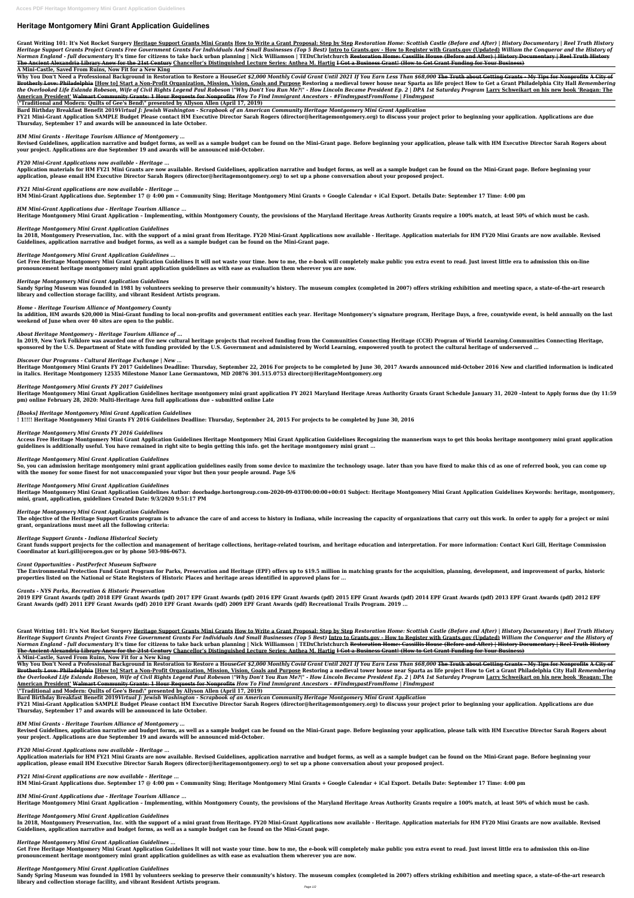# **Heritage Montgomery Mini Grant Application Guidelines**

Grant Writing 101: It's Not Rocket Surgery <u>Heritage Support Grants Mini Grants How to Write a Grant Proposal: Step by Step Restoration Home: Scottish Castle (Before and After) | History Documentary | Reel Truth History</u> Heritage Support Grants Project Grants Free Government Grants For Individuals And Small Businesses (Top 5 Best) Intro to Grants.gov - How to Register with Grants.gov (Updated) William the Conqueror and the History of Norman England - full documentary It's time for citizens to take back urban planning | Nick Williamson | TEDxChristchurch Restoration Home: Cassillis House (Before and After) | History Documentary | Reel Truth History **The Ancient Alexandria Library Anew for the 21st Century Chancellor's Distinguished Lecture Series: Anthea M. Hartig I Got a Business Grant! (How to Get Grant Funding for Your Business)**

Why You Don't Need a Professional Background in Restoration to Restore a HouseGet \$2,000 Monthly Covid Grant Until 2021 If You Earn Less Than \$68,000 The Truth about Getting Grants - My Tips for Nonprofits A City of Brotherly Love: Philadelphia [How to] Start a Non-Profit Organization, Mission, Vision, Goals and Purpose Restoring a medieval tower house near Sparta as life project How to Get a Grant Philadelphia City Hall Remembering the Overlooked Life Eslanda Robeson, Wife of Civil Rights Legend Paul Robeson \"Why Don't You Run Me?\" - How Lincoln Became President Ep. 2 | DPA 1st Saturday Program Larry Schweikart on his new book 'Reagan: The **American President' Walmart Community Grants: 1 Hour Requests for Nonprofits** *How To Find Immigrant Ancestors - #FindmypastFromHome | Findmypast*

#### **A Mini-Castle, Saved From Ruins, Now Fit for a New King**

**\"Traditional and Modern: Quilts of Gee's Bend\" presented by Allyson Allen (April 17, 2019)**

**Bard Birthday Breakfast Benefit 2019***Virtual J: Jewish Washington - Scrapbook of an American Community Heritage Montgomery Mini Grant Application*

**FY21 Mini-Grant Application SAMPLE Budget Please contact HM Executive Director Sarah Rogers (director@heritagemontgomery.org) to discuss your project prior to beginning your application. Applications are due Thursday, September 17 and awards will be announced in late October.**

*HM Mini Grants - Heritage Tourism Alliance of Montgomery ...*

**Revised Guidelines, application narrative and budget forms, as well as a sample budget can be found on the Mini-Grant page. Before beginning your application, please talk with HM Executive Director Sarah Rogers about your project. Applications are due September 19 and awards will be announced mid-October.**

In addition, HM awards \$20,000 in Mini-Grant funding to local non-profits and government entities each year. Heritage Montgomery's signature program, Heritage Days, a free, countywide event, is held annually on the last **weekend of June when over 40 sites are open to the public.**

*FY20 Mini-Grant Applications now available - Heritage ...*

**Application materials for HM FY21 Mini Grants are now available. Revised Guidelines, application narrative and budget forms, as well as a sample budget can be found on the Mini-Grant page. Before beginning your application, please email HM Executive Director Sarah Rogers (director@heritagemontgomery.org) to set up a phone conversation about your proposed project.**

*FY21 Mini-Grant applications are now available - Heritage ...*

**HM Mini-Grant Applications due. September 17 @ 4:00 pm « Community Sing; Heritage Montgomery Mini Grants + Google Calendar + iCal Export. Details Date: September 17 Time: 4:00 pm**

*HM Mini-Grant Applications due - Heritage Tourism Alliance ...* **Heritage Montgomery Mini Grant Application – Implementing, within Montgomery County, the provisions of the Maryland Heritage Areas Authority Grants require a 100% match, at least 50% of which must be cash.**

# *Heritage Montgomery Mini Grant Application Guidelines*

**In 2018, Montgomery Preservation, Inc. with the support of a mini grant from Heritage. FY20 Mini-Grant Applications now available - Heritage. Application materials for HM FY20 Mini Grants are now available. Revised Guidelines, application narrative and budget forms, as well as a sample budget can be found on the Mini-Grant page.**

The objective of the Heritage Support Grants program is to advance the care of and access to history in Indiana, while increasing the capacity of organizations that carry out this work. In order to apply for a project or m **grant, organizations must meet all the following criteria:**

*Heritage Montgomery Mini Grant Application Guidelines ...*

**Get Free Heritage Montgomery Mini Grant Application Guidelines It will not waste your time. bow to me, the e-book will completely make public you extra event to read. Just invest little era to admission this on-line pronouncement heritage montgomery mini grant application guidelines as with ease as evaluation them wherever you are now.**

# *Heritage Montgomery Mini Grant Application Guidelines*

**Sandy Spring Museum was founded in 1981 by volunteers seeking to preserve their community's history. The museum complex (completed in 2007) offers striking exhibition and meeting space, a state-of-the-art research library and collection storage facility, and vibrant Resident Artists program.**

*Home - Heritage Tourism Alliance of Montgomery County*

Grant Writing 101: It's Not Rocket Surgery Heritage Support Grants Mini Grants How to Write a Grant Proposal: Step by Step Restoration Home: Scottish Castle (Before and After) | History Documentary | Reel Truth History Heritage Support Grants Project Grants Free Government Grants For Individuals And Small Businesses (Top 5 Best) Intro to Grants.gov - How to Register with Grants.gov (Updated) William the Conqueror and the History of Norman England - full documentary It's time for citizens to take back urban planning | Nick Williamson | TEDxChristchurch <del>Restoration Home: Cassillis House (Before and After) | History Documentary | Reel Truth History</del> **The Ancient Alexandria Library Anew for the 21st Century Chancellor's Distinguished Lecture Series: Anthea M. Hartig I Got a Business Grant! (How to Get Grant Funding for Your Business)**

*About Heritage Montgomery - Heritage Tourism Alliance of ...*

**In 2019, New York Folklore was awarded one of five new cultural heritage projects that received funding from the Communities Connecting Heritage (CCH) Program of World Learning.Communities Connecting Heritage, sponsored by the U.S. Department of State with funding provided by the U.S. Government and administered by World Learning, empowered youth to protect the cultural heritage of underserved ...**

Why You Don't Need a Professional Background in Restoration to Restore a HouseGet \$2,000 Monthly Covid Grant Until 2021 If You Earn Less Than \$68,000 The Truth about Getting Grants - My Tips for Nonprofits A City of Brotherly Love: Philadelphia [How to] Start a Non-Profit Organization, Mission, Vision, Goals and Purpose Restoring a medieval tower house near Sparta as life project How to Get a Grant Philadelphia City Hall Remembering the Overlooked Life Eslanda Robeson, Wife of Civil Rights Legend Paul Robeson \"Why Don't You Run Me?\" - How Lincoln Became President Ep. 2 | DPA 1st Saturday Program <u>Larry Schweikart on his new book 'Reagan: The</u> **American President' Walmart Community Grants: 1 Hour Requests for Nonprofits** *How To Find Immigrant Ancestors - #FindmypastFromHome | Findmypast*

### *Discover Our Programs - Cultural Heritage Exchange | New ...*

**Heritage Montgomery Mini Grants FY 2017 Guidelines Deadline: Thursday, September 22, 2016 For projects to be completed by June 30, 2017 Awards announced mid-October 2016 New and clarified information is indicated in italics. Heritage Montgomery 12535 Milestone Manor Lane Germantown, MD 20876 301.515.0753 director@HeritageMontgomery.org**

### *Heritage Montgomery Mini Grants FY 2017 Guidelines*

**Heritage Montgomery Mini Grant Application Guidelines heritage montgomery mini grant application FY 2021 Maryland Heritage Areas Authority Grants Grant Schedule January 31, 2020 –Intent to Apply forms due (by 11:59 pm) online February 28, 2020: Multi-Heritage Area full applications due – submitted online Late**

# *[Books] Heritage Montgomery Mini Grant Application Guidelines*

**! 1!!!! Heritage Montgomery Mini Grants FY 2016 Guidelines Deadline: Thursday, September 24, 2015 For projects to be completed by June 30, 2016**

### *Heritage Montgomery Mini Grants FY 2016 Guidelines*

**Access Free Heritage Montgomery Mini Grant Application Guidelines Heritage Montgomery Mini Grant Application Guidelines Recognizing the mannerism ways to get this books heritage montgomery mini grant application guidelines is additionally useful. You have remained in right site to begin getting this info. get the heritage montgomery mini grant ...**

### *Heritage Montgomery Mini Grant Application Guidelines*

**So, you can admission heritage montgomery mini grant application guidelines easily from some device to maximize the technology usage. later than you have fixed to make this cd as one of referred book, you can come up with the money for some finest for not unaccompanied your vigor but then your people around. Page 5/6**

# *Heritage Montgomery Mini Grant Application Guidelines*

**Heritage Montgomery Mini Grant Application Guidelines Author: doorbadge.hortongroup.com-2020-09-03T00:00:00+00:01 Subject: Heritage Montgomery Mini Grant Application Guidelines Keywords: heritage, montgomery, mini, grant, application, guidelines Created Date: 9/3/2020 9:51:17 PM**

# *Heritage Montgomery Mini Grant Application Guidelines*

# *Heritage Support Grants - Indiana Historical Society*

**Grant funds support projects for the collection and management of heritage collections, heritage-related tourism, and heritage education and interpretation. For more information: Contact Kuri Gill, Heritage Commission Coordinator at kuri.gill@oregon.gov or by phone 503-986-0673.**

# *Grant Opportunities - PastPerfect Museum Software*

**The Environmental Protection Fund Grant Program for Parks, Preservation and Heritage (EPF) offers up to \$19.5 million in matching grants for the acquisition, planning, development, and improvement of parks, historic properties listed on the National or State Registers of Historic Places and heritage areas identified in approved plans for ...**

# *Grants - NYS Parks, Recreation & Historic Preservation*

**2019 EPF Grant Awards (pdf) 2018 EPF Grant Awards (pdf) 2017 EPF Grant Awards (pdf) 2016 EPF Grant Awards (pdf) 2015 EPF Grant Awards (pdf) 2014 EPF Grant Awards (pdf) 2013 EPF Grant Awards (pdf) 2012 EPF Grant Awards (pdf) 2011 EPF Grant Awards (pdf) 2010 EPF Grant Awards (pdf) 2009 EPF Grant Awards (pdf) Recreational Trails Program. 2019 ...**

### **A Mini-Castle, Saved From Ruins, Now Fit for a New King**

**\"Traditional and Modern: Quilts of Gee's Bend\" presented by Allyson Allen (April 17, 2019)**

**Bard Birthday Breakfast Benefit 2019***Virtual J: Jewish Washington - Scrapbook of an American Community Heritage Montgomery Mini Grant Application* **FY21 Mini-Grant Application SAMPLE Budget Please contact HM Executive Director Sarah Rogers (director@heritagemontgomery.org) to discuss your project prior to beginning your application. Applications are due Thursday, September 17 and awards will be announced in late October.**

*HM Mini Grants - Heritage Tourism Alliance of Montgomery ...*

**Revised Guidelines, application narrative and budget forms, as well as a sample budget can be found on the Mini-Grant page. Before beginning your application, please talk with HM Executive Director Sarah Rogers about your project. Applications are due September 19 and awards will be announced mid-October.**

*FY20 Mini-Grant Applications now available - Heritage ...*

**Application materials for HM FY21 Mini Grants are now available. Revised Guidelines, application narrative and budget forms, as well as a sample budget can be found on the Mini-Grant page. Before beginning your application, please email HM Executive Director Sarah Rogers (director@heritagemontgomery.org) to set up a phone conversation about your proposed project.**

*FY21 Mini-Grant applications are now available - Heritage ...*

**HM Mini-Grant Applications due. September 17 @ 4:00 pm « Community Sing; Heritage Montgomery Mini Grants + Google Calendar + iCal Export. Details Date: September 17 Time: 4:00 pm**

*HM Mini-Grant Applications due - Heritage Tourism Alliance ...*

**Heritage Montgomery Mini Grant Application – Implementing, within Montgomery County, the provisions of the Maryland Heritage Areas Authority Grants require a 100% match, at least 50% of which must be cash.**

*Heritage Montgomery Mini Grant Application Guidelines*

**In 2018, Montgomery Preservation, Inc. with the support of a mini grant from Heritage. FY20 Mini-Grant Applications now available - Heritage. Application materials for HM FY20 Mini Grants are now available. Revised Guidelines, application narrative and budget forms, as well as a sample budget can be found on the Mini-Grant page.**

*Heritage Montgomery Mini Grant Application Guidelines ...*

**Get Free Heritage Montgomery Mini Grant Application Guidelines It will not waste your time. bow to me, the e-book will completely make public you extra event to read. Just invest little era to admission this on-line pronouncement heritage montgomery mini grant application guidelines as with ease as evaluation them wherever you are now.**

#### *Heritage Montgomery Mini Grant Application Guidelines*

**Sandy Spring Museum was founded in 1981 by volunteers seeking to preserve their community's history. The museum complex (completed in 2007) offers striking exhibition and meeting space, a state-of-the-art research library and collection storage facility, and vibrant Resident Artists program.**